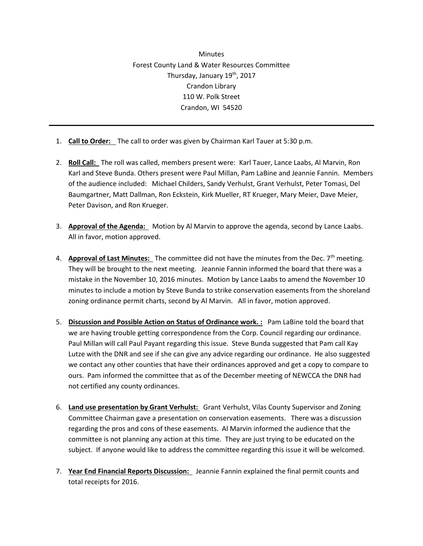**Minutes** Forest County Land & Water Resources Committee Thursday, January 19th, 2017 Crandon Library 110 W. Polk Street Crandon, WI 54520

- 1. **Call to Order:** The call to order was given by Chairman Karl Tauer at 5:30 p.m.
- 2. **Roll Call:** The roll was called, members present were: Karl Tauer, Lance Laabs, Al Marvin, Ron Karl and Steve Bunda. Others present were Paul Millan, Pam LaBine and Jeannie Fannin. Members of the audience included: Michael Childers, Sandy Verhulst, Grant Verhulst, Peter Tomasi, Del Baumgartner, Matt Dallman, Ron Eckstein, Kirk Mueller, RT Krueger, Mary Meier, Dave Meier, Peter Davison, and Ron Krueger.
- 3. **Approval of the Agenda:** Motion by Al Marvin to approve the agenda, second by Lance Laabs. All in favor, motion approved.
- 4. **Approval of Last Minutes:** The committee did not have the minutes from the Dec. 7th meeting. They will be brought to the next meeting. Jeannie Fannin informed the board that there was a mistake in the November 10, 2016 minutes. Motion by Lance Laabs to amend the November 10 minutes to include a motion by Steve Bunda to strike conservation easements from the shoreland zoning ordinance permit charts, second by Al Marvin. All in favor, motion approved.
- 5. **Discussion and Possible Action on Status of Ordinance work. :** Pam LaBine told the board that we are having trouble getting correspondence from the Corp. Council regarding our ordinance. Paul Millan will call Paul Payant regarding this issue. Steve Bunda suggested that Pam call Kay Lutze with the DNR and see if she can give any advice regarding our ordinance. He also suggested we contact any other counties that have their ordinances approved and get a copy to compare to ours. Pam informed the committee that as of the December meeting of NEWCCA the DNR had not certified any county ordinances.
- 6. **Land use presentation by Grant Verhulst:** Grant Verhulst, Vilas County Supervisor and Zoning Committee Chairman gave a presentation on conservation easements. There was a discussion regarding the pros and cons of these easements. Al Marvin informed the audience that the committee is not planning any action at this time. They are just trying to be educated on the subject. If anyone would like to address the committee regarding this issue it will be welcomed.
- 7. **Year End Financial Reports Discussion:** Jeannie Fannin explained the final permit counts and total receipts for 2016.